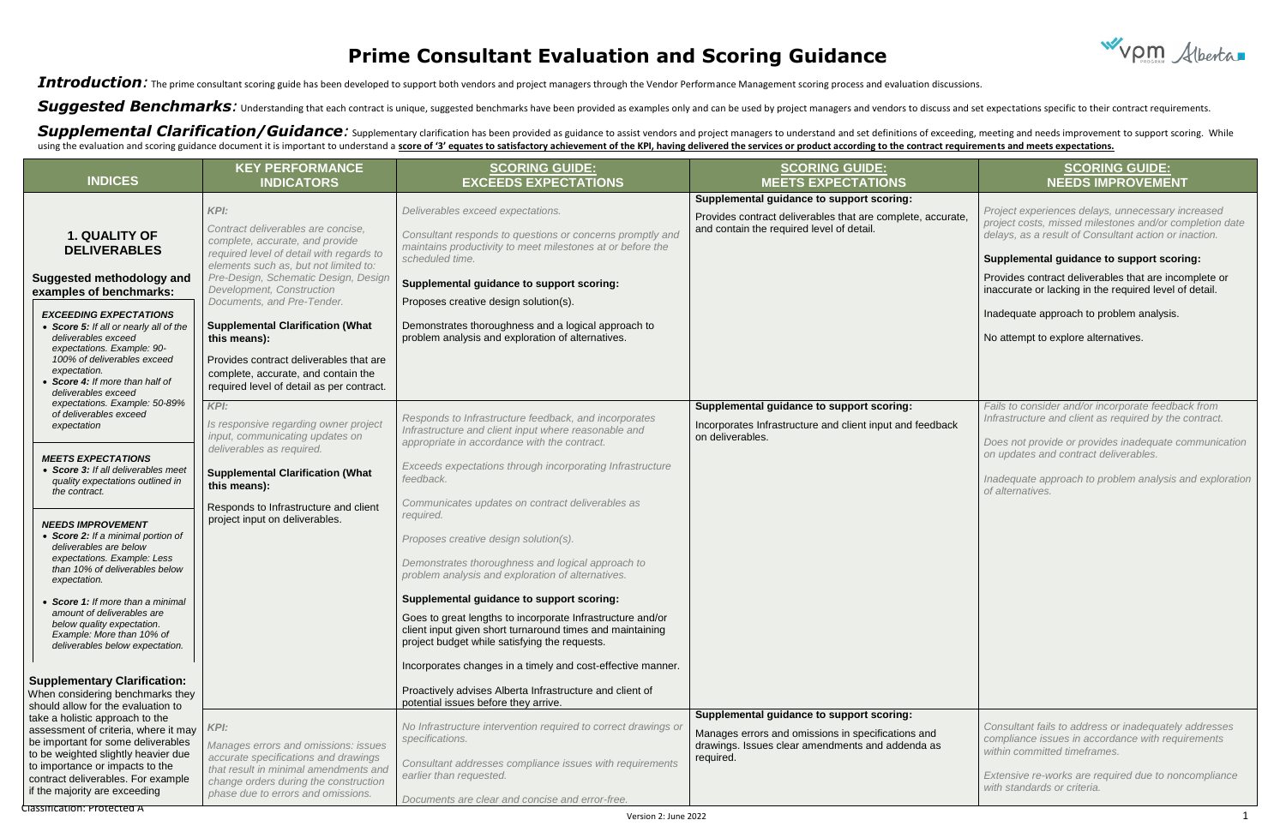## **Prime Consultant Evaluation and Scoring Guidance**

Introduction: The prime consultant scoring guide has been developed to support both vendors and project managers through the Vendor Performance Management scoring process and evaluation discussions.

Suggested Benchmarks: Understanding that each contract is unique, suggested benchmarks have been provided as examples only and can be used by project managers and vendors to discuss and set expectations specific to their c

Supplemental Clarification/Guidance: Supplementary clarification has been provided as guidance to assist vendors and project managers to understand and set definitions of exceeding, meeting and needs improvement to support using the evaluation and scoring guidance document it is important to understand a score of '3' equates to satisfactory achievement of the KPI, having delivered the services or product according to the contract requirement



| <b>INDICES</b>                                                                                                                                                                                                                                                                                                                                                                                                                                                                                                                                | <b>KEY PERFORMANCE</b><br><b>INDICATORS</b>                                                                                                                                                                                                                                                                                                                                                                                                                     | <b>SCORING GUIDE:</b><br><b>EXCEEDS EXPECTATIONS</b>                                                                                                                                                                                                                                                                                                                                                                                                                                                                                                                                                                                                                                 | <b>SCORING GUIDE:</b><br><b>MEETS EXPECTATIONS</b>                                                                                                               | <b>SCORING GUIDE:</b><br><b>NEEDS IMPROVEMENT</b>                                                                                                                                                                                                                                                                                                                                                                        |
|-----------------------------------------------------------------------------------------------------------------------------------------------------------------------------------------------------------------------------------------------------------------------------------------------------------------------------------------------------------------------------------------------------------------------------------------------------------------------------------------------------------------------------------------------|-----------------------------------------------------------------------------------------------------------------------------------------------------------------------------------------------------------------------------------------------------------------------------------------------------------------------------------------------------------------------------------------------------------------------------------------------------------------|--------------------------------------------------------------------------------------------------------------------------------------------------------------------------------------------------------------------------------------------------------------------------------------------------------------------------------------------------------------------------------------------------------------------------------------------------------------------------------------------------------------------------------------------------------------------------------------------------------------------------------------------------------------------------------------|------------------------------------------------------------------------------------------------------------------------------------------------------------------|--------------------------------------------------------------------------------------------------------------------------------------------------------------------------------------------------------------------------------------------------------------------------------------------------------------------------------------------------------------------------------------------------------------------------|
| <b>1. QUALITY OF</b><br><b>DELIVERABLES</b><br><b>Suggested methodology and</b><br>examples of benchmarks:<br><b>EXCEEDING EXPECTATIONS</b><br>• Score 5: If all or nearly all of the<br>deliverables exceed<br>expectations. Example: 90-<br>100% of deliverables exceed<br>expectation.<br>Score 4: If more than half of<br>deliverables exceed                                                                                                                                                                                             | KPI:<br>Contract deliverables are concise,<br>complete, accurate, and provide<br>required level of detail with regards to<br>elements such as, but not limited to:<br>Pre-Design, Schematic Design, Design<br>Development, Construction<br>Documents, and Pre-Tender.<br><b>Supplemental Clarification (What</b><br>this means):<br>Provides contract deliverables that are<br>complete, accurate, and contain the<br>required level of detail as per contract. | Deliverables exceed expectations.<br>Consultant responds to questions or concerns promptly and<br>maintains productivity to meet milestones at or before the<br>scheduled time.<br>Supplemental guidance to support scoring:<br>Proposes creative design solution(s).<br>Demonstrates thoroughness and a logical approach to<br>problem analysis and exploration of alternatives.                                                                                                                                                                                                                                                                                                    | Supplemental guidance to support scoring:<br>Provides contract deliverables that are complete, accurate,<br>and contain the required level of detail.            | Project experiences delays, unnecessary increased<br>project costs, missed milestones and/or completion date<br>delays, as a result of Consultant action or inaction.<br>Supplemental guidance to support scoring:<br>Provides contract deliverables that are incomplete or<br>inaccurate or lacking in the required level of detail.<br>Inadequate approach to problem analysis.<br>No attempt to explore alternatives. |
| expectations. Example: 50-89%<br>of deliverables exceed<br>expectation<br><b>MEETS EXPECTATIONS</b><br>• Score 3: If all deliverables meet<br>quality expectations outlined in<br>the contract.<br><b>NEEDS IMPROVEMENT</b><br>• Score 2: If a minimal portion of<br>deliverables are below<br>expectations. Example: Less<br>than 10% of deliverables below<br>expectation.<br>• Score 1: If more than a minimal<br>amount of deliverables are<br>below quality expectation.<br>Example: More than 10% of<br>deliverables below expectation. | KPI:<br>Is responsive regarding owner project<br>input, communicating updates on<br>deliverables as required.<br><b>Supplemental Clarification (What</b><br>this means):<br>Responds to Infrastructure and client<br>project input on deliverables.                                                                                                                                                                                                             | Responds to Infrastructure feedback, and incorporates<br>Infrastructure and client input where reasonable and<br>appropriate in accordance with the contract.<br>Exceeds expectations through incorporating Infrastructure<br>feedback.<br>Communicates updates on contract deliverables as<br>required.<br>Proposes creative design solution(s).<br>Demonstrates thoroughness and logical approach to<br>problem analysis and exploration of alternatives.<br>Supplemental guidance to support scoring:<br>Goes to great lengths to incorporate Infrastructure and/or<br>client input given short turnaround times and maintaining<br>project budget while satisfying the requests. | Supplemental guidance to support scoring:<br>Incorporates Infrastructure and client input and feedback<br>on deliverables.                                       | Fails to consider and/or incorporate feedback from<br>Infrastructure and client as required by the contract.<br>Does not provide or provides inadequate communication<br>on updates and contract deliverables.<br>Inadequate approach to problem analysis and exploration<br>of alternatives.                                                                                                                            |
| <b>Supplementary Clarification:</b><br>When considering benchmarks they<br>should allow for the evaluation to                                                                                                                                                                                                                                                                                                                                                                                                                                 |                                                                                                                                                                                                                                                                                                                                                                                                                                                                 | Incorporates changes in a timely and cost-effective manner.<br>Proactively advises Alberta Infrastructure and client of<br>potential issues before they arrive.                                                                                                                                                                                                                                                                                                                                                                                                                                                                                                                      |                                                                                                                                                                  |                                                                                                                                                                                                                                                                                                                                                                                                                          |
| take a holistic approach to the<br>assessment of criteria, where it may<br>be important for some deliverables<br>to be weighted slightly heavier due<br>to importance or impacts to the<br>contract deliverables. For example<br>if the majority are exceeding                                                                                                                                                                                                                                                                                | KPI:<br>Manages errors and omissions: issues<br>accurate specifications and drawings<br>that result in minimal amendments and<br>change orders during the construction<br>phase due to errors and omissions.                                                                                                                                                                                                                                                    | No Infrastructure intervention required to correct drawings or<br>specifications.<br>Consultant addresses compliance issues with requirements<br>earlier than requested.<br>Documents are clear and concise and error-free.                                                                                                                                                                                                                                                                                                                                                                                                                                                          | Supplemental guidance to support scoring:<br>Manages errors and omissions in specifications and<br>drawings. Issues clear amendments and addenda as<br>required. | Consultant fails to address or inadequately addresses<br>compliance issues in accordance with requirements<br>within committed timeframes.<br>Extensive re-works are required due to noncompliance<br>with standards or criteria.                                                                                                                                                                                        |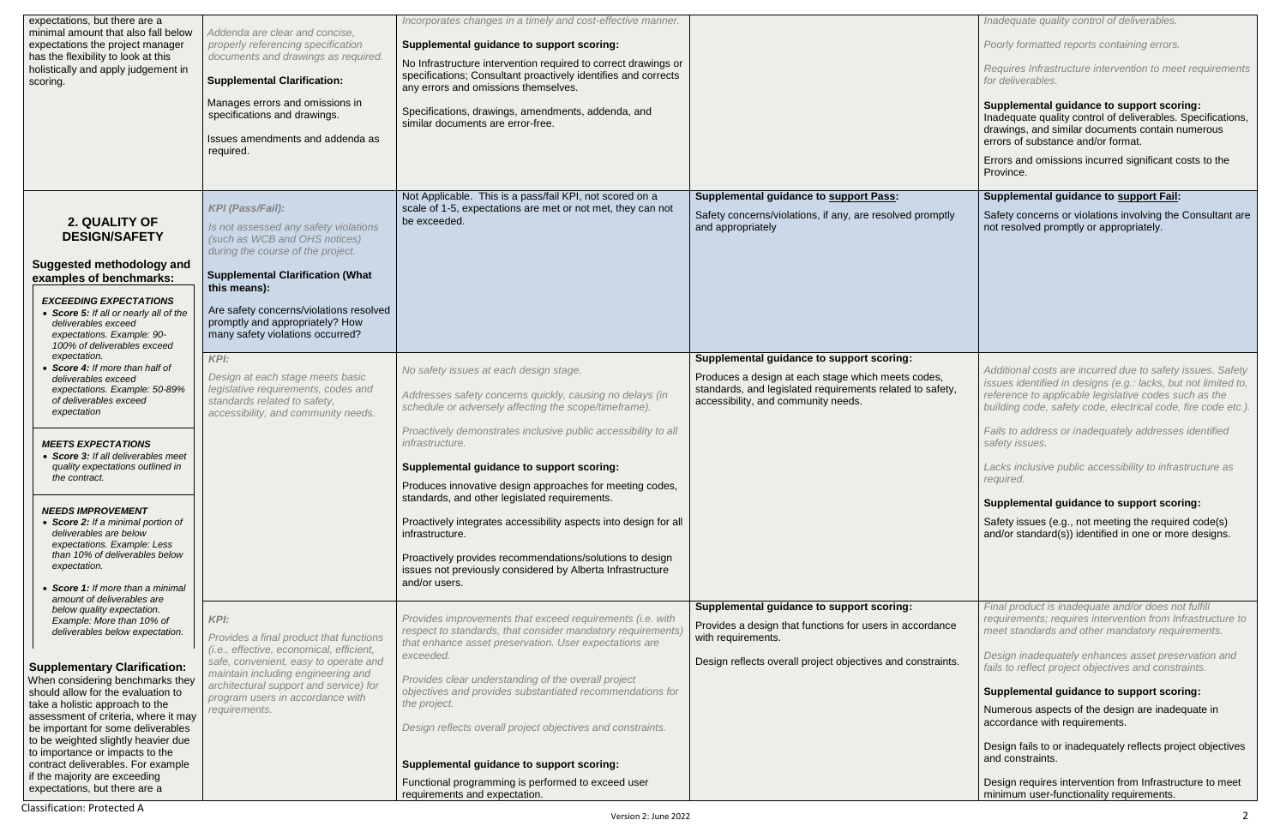| expectations, but there are a<br>minimal amount that also fall below                                                         | Addenda are clear and concise,                                                                                   | Incorporates changes in a timely and cost-effective manner.                                                                                                                        |                                                                                                            |
|------------------------------------------------------------------------------------------------------------------------------|------------------------------------------------------------------------------------------------------------------|------------------------------------------------------------------------------------------------------------------------------------------------------------------------------------|------------------------------------------------------------------------------------------------------------|
| expectations the project manager<br>has the flexibility to look at this                                                      | properly referencing specification<br>documents and drawings as required.                                        | Supplemental guidance to support scoring:                                                                                                                                          |                                                                                                            |
| holistically and apply judgement in<br>scoring.                                                                              | <b>Supplemental Clarification:</b>                                                                               | No Infrastructure intervention required to correct drawings or<br>specifications; Consultant proactively identifies and corrects<br>any errors and omissions themselves.           |                                                                                                            |
|                                                                                                                              | Manages errors and omissions in<br>specifications and drawings.                                                  | Specifications, drawings, amendments, addenda, and<br>similar documents are error-free.                                                                                            |                                                                                                            |
|                                                                                                                              | Issues amendments and addenda as<br>required.                                                                    |                                                                                                                                                                                    |                                                                                                            |
|                                                                                                                              |                                                                                                                  |                                                                                                                                                                                    |                                                                                                            |
| 2. QUALITY OF                                                                                                                | <b>KPI (Pass/Fail):</b>                                                                                          | Not Applicable. This is a pass/fail KPI, not scored on a<br>scale of 1-5, expectations are met or not met, they can not<br>be exceeded.                                            | <b>Supplemental guidance to support Pass:</b><br>Safety concerns/violations, if any, are resolved promptly |
| <b>DESIGN/SAFETY</b>                                                                                                         | Is not assessed any safety violations<br>(such as WCB and OHS notices)<br>during the course of the project.      |                                                                                                                                                                                    | and appropriately                                                                                          |
| <b>Suggested methodology and</b><br>examples of benchmarks:                                                                  | <b>Supplemental Clarification (What</b><br>this means):                                                          |                                                                                                                                                                                    |                                                                                                            |
| <b>EXCEEDING EXPECTATIONS</b><br>• Score 5: If all or nearly all of the<br>deliverables exceed<br>expectations. Example: 90- | Are safety concerns/violations resolved<br>promptly and appropriately? How<br>many safety violations occurred?   |                                                                                                                                                                                    |                                                                                                            |
| 100% of deliverables exceed<br>expectation.                                                                                  | KPI:                                                                                                             |                                                                                                                                                                                    | Supplemental guidance to support scoring:                                                                  |
| • Score 4: If more than half of<br>deliverables exceed                                                                       | Design at each stage meets basic                                                                                 | No safety issues at each design stage.                                                                                                                                             | Produces a design at each stage which meets codes,                                                         |
| expectations. Example: 50-89%<br>of deliverables exceed<br>expectation                                                       | legislative requirements, codes and<br>standards related to safety,<br>accessibility, and community needs.       | Addresses safety concerns quickly, causing no delays (in<br>schedule or adversely affecting the scope/timeframe).                                                                  | standards, and legislated requirements related to safety,<br>accessibility, and community needs.           |
| <b>MEETS EXPECTATIONS</b>                                                                                                    |                                                                                                                  | Proactively demonstrates inclusive public accessibility to all<br>infrastructure.                                                                                                  |                                                                                                            |
| • Score 3: If all deliverables meet<br>quality expectations outlined in<br>the contract.                                     |                                                                                                                  | Supplemental guidance to support scoring:                                                                                                                                          |                                                                                                            |
|                                                                                                                              |                                                                                                                  | Produces innovative design approaches for meeting codes,<br>standards, and other legislated requirements.                                                                          |                                                                                                            |
| <b>NEEDS IMPROVEMENT</b><br>• Score 2: If a minimal portion of<br>deliverables are below                                     |                                                                                                                  | Proactively integrates accessibility aspects into design for all<br>infrastructure.                                                                                                |                                                                                                            |
| expectations. Example: Less<br>than 10% of deliverables below                                                                |                                                                                                                  | Proactively provides recommendations/solutions to design                                                                                                                           |                                                                                                            |
| expectation.<br>• Score 1: If more than a minimal                                                                            |                                                                                                                  | issues not previously considered by Alberta Infrastructure<br>and/or users.                                                                                                        |                                                                                                            |
| amount of deliverables are<br>below quality expectation.                                                                     |                                                                                                                  |                                                                                                                                                                                    | Supplemental guidance to support scoring:                                                                  |
| Example: More than 10% of<br>deliverables below expectation.                                                                 | KPI:<br>Provides a final product that functions                                                                  | Provides improvements that exceed requirements (i.e. with<br>respect to standards, that consider mandatory requirements)<br>that enhance asset preservation. User expectations are | Provides a design that functions for users in accordance<br>with requirements.                             |
| <b>Supplementary Clarification:</b>                                                                                          | (i.e., effective, economical, efficient,<br>safe, convenient, easy to operate and                                | exceeded.                                                                                                                                                                          | Design reflects overall project objectives and constraints.                                                |
| When considering benchmarks they<br>should allow for the evaluation to<br>take a holistic approach to the                    | maintain including engineering and<br>architectural support and service) for<br>program users in accordance with | Provides clear understanding of the overall project<br>objectives and provides substantiated recommendations for<br>the project.                                                   |                                                                                                            |
| assessment of criteria, where it may<br>be important for some deliverables<br>to be weighted slightly heavier due            | requirements.                                                                                                    | Design reflects overall project objectives and constraints.                                                                                                                        |                                                                                                            |
| to importance or impacts to the<br>contract deliverables. For example                                                        |                                                                                                                  | Supplemental guidance to support scoring:                                                                                                                                          |                                                                                                            |
| if the majority are exceeding                                                                                                |                                                                                                                  | Functional programming is performed to exceed user                                                                                                                                 |                                                                                                            |
| expectations, but there are a                                                                                                |                                                                                                                  | requirements and expectation.                                                                                                                                                      |                                                                                                            |

|      | Inadequate quality control of deliverables.                                                                                                                                                                                                            |
|------|--------------------------------------------------------------------------------------------------------------------------------------------------------------------------------------------------------------------------------------------------------|
|      | Poorly formatted reports containing errors.                                                                                                                                                                                                            |
|      | Requires Infrastructure intervention to meet requirements<br>for deliverables.                                                                                                                                                                         |
|      | Supplemental guidance to support scoring:<br>Inadequate quality control of deliverables. Specifications,<br>drawings, and similar documents contain numerous<br>errors of substance and/or format.                                                     |
|      | Errors and omissions incurred significant costs to the<br>Province.                                                                                                                                                                                    |
|      | Supplemental guidance to support Fail:                                                                                                                                                                                                                 |
| tly  | Safety concerns or violations involving the Consultant are<br>not resolved promptly or appropriately.                                                                                                                                                  |
|      |                                                                                                                                                                                                                                                        |
|      |                                                                                                                                                                                                                                                        |
|      |                                                                                                                                                                                                                                                        |
|      |                                                                                                                                                                                                                                                        |
| ty,  | Additional costs are incurred due to safety issues. Safety<br>issues identified in designs (e.g.: lacks, but not limited to,<br>reference to applicable legislative codes such as the<br>building code, safety code, electrical code, fire code etc.). |
|      | Fails to address or inadequately addresses identified<br>safety issues.                                                                                                                                                                                |
|      | Lacks inclusive public accessibility to infrastructure as<br>required.                                                                                                                                                                                 |
|      | Supplemental guidance to support scoring:                                                                                                                                                                                                              |
|      | Safety issues (e.g., not meeting the required code(s)<br>and/or standard(s)) identified in one or more designs.                                                                                                                                        |
|      |                                                                                                                                                                                                                                                        |
|      |                                                                                                                                                                                                                                                        |
| cе   | Final product is inadequate and/or does not fulfill<br>requirements; requires intervention from Infrastructure to<br>meet standards and other mandatory requirements.                                                                                  |
| וfs. | Design inadequately enhances asset preservation and<br>fails to reflect project objectives and constraints.                                                                                                                                            |
|      | <b>Supplemental guidance to support scoring:</b>                                                                                                                                                                                                       |
|      | Numerous aspects of the design are inadequate in<br>accordance with requirements.                                                                                                                                                                      |
|      | Design fails to or inadequately reflects project objectives<br>and constraints.                                                                                                                                                                        |
|      | Design requires intervention from Infrastructure to meet<br>minimum user-functionality requirements.                                                                                                                                                   |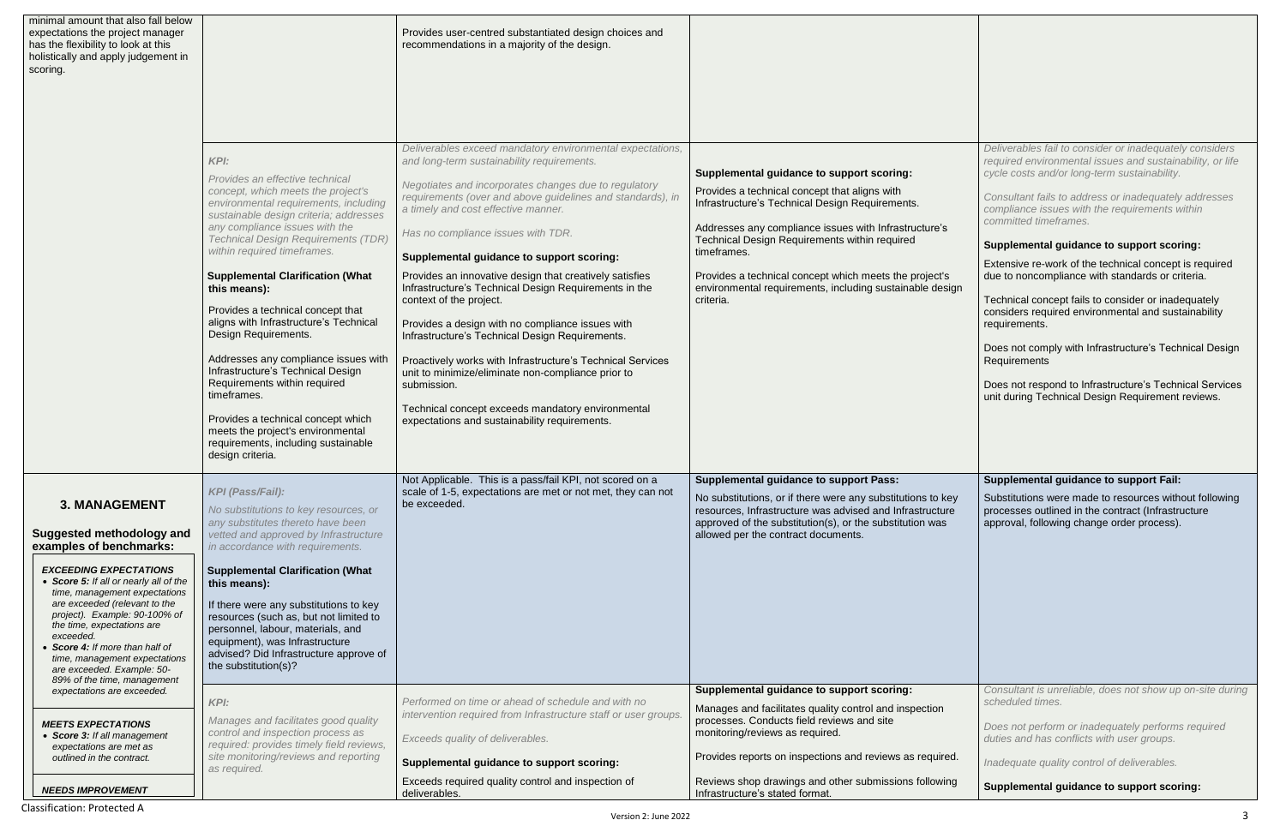| minimal amount that also fall below<br>expectations the project manager<br>has the flexibility to look at this<br>holistically and apply judgement in<br>scoring.                                                                                                                                                                                                                                                                           |                                                                                                                                                                                                                                                                                                                                                                                                                                                                                                                                                                                                                                                                                                                     | Provides user-centred substantiated design choices and<br>recommendations in a majority of the design.                                                                                                                                                                                                                                                                                                                                                                                                                                                                                                                                                                                                                                                                                                                                                  |                                                                                                                                                                                                                                                                                                                                                                                                           |
|---------------------------------------------------------------------------------------------------------------------------------------------------------------------------------------------------------------------------------------------------------------------------------------------------------------------------------------------------------------------------------------------------------------------------------------------|---------------------------------------------------------------------------------------------------------------------------------------------------------------------------------------------------------------------------------------------------------------------------------------------------------------------------------------------------------------------------------------------------------------------------------------------------------------------------------------------------------------------------------------------------------------------------------------------------------------------------------------------------------------------------------------------------------------------|---------------------------------------------------------------------------------------------------------------------------------------------------------------------------------------------------------------------------------------------------------------------------------------------------------------------------------------------------------------------------------------------------------------------------------------------------------------------------------------------------------------------------------------------------------------------------------------------------------------------------------------------------------------------------------------------------------------------------------------------------------------------------------------------------------------------------------------------------------|-----------------------------------------------------------------------------------------------------------------------------------------------------------------------------------------------------------------------------------------------------------------------------------------------------------------------------------------------------------------------------------------------------------|
|                                                                                                                                                                                                                                                                                                                                                                                                                                             | KPI:<br>Provides an effective technical<br>concept, which meets the project's<br>environmental requirements, including<br>sustainable design criteria; addresses<br>any compliance issues with the<br><b>Technical Design Requirements (TDR)</b><br>within required timeframes.<br><b>Supplemental Clarification (What</b><br>this means):<br>Provides a technical concept that<br>aligns with Infrastructure's Technical<br>Design Requirements.<br>Addresses any compliance issues with<br>Infrastructure's Technical Design<br>Requirements within required<br>timeframes.<br>Provides a technical concept which<br>meets the project's environmental<br>requirements, including sustainable<br>design criteria. | Deliverables exceed mandatory environmental expectations,<br>and long-term sustainability requirements.<br>Negotiates and incorporates changes due to regulatory<br>requirements (over and above guidelines and standards), in<br>a timely and cost effective manner.<br>Has no compliance issues with TDR.<br>Supplemental guidance to support scoring:<br>Provides an innovative design that creatively satisfies<br>Infrastructure's Technical Design Requirements in the<br>context of the project.<br>Provides a design with no compliance issues with<br>Infrastructure's Technical Design Requirements.<br>Proactively works with Infrastructure's Technical Services<br>unit to minimize/eliminate non-compliance prior to<br>submission.<br>Technical concept exceeds mandatory environmental<br>expectations and sustainability requirements. | Supplemental guidance to support scoring:<br>Provides a technical concept that aligns with<br>Infrastructure's Technical Design Requirements.<br>Addresses any compliance issues with Infrastructure's<br>Technical Design Requirements within required<br>timeframes.<br>Provides a technical concept which meets the project's<br>environmental requirements, including sustainable design<br>criteria. |
| <b>3. MANAGEMENT</b><br><b>Suggested methodology and</b><br>examples of benchmarks:<br><b>EXCEEDING EXPECTATIONS</b><br>• Score 5: If all or nearly all of the<br>time, management expectations<br>are exceeded (relevant to the<br>project). Example: 90-100% of<br>the time, expectations are<br>exceeded.<br>Score 4: If more than half of<br>time, management expectations<br>are exceeded. Example: 50-<br>89% of the time, management | KPI (Pass/Fail):<br>No substitutions to key resources, or<br>any substitutes thereto have been<br>vetted and approved by Infrastructure<br>in accordance with requirements.<br><b>Supplemental Clarification (What</b><br>this means):<br>If there were any substitutions to key<br>resources (such as, but not limited to<br>personnel, labour, materials, and<br>equipment), was Infrastructure<br>advised? Did Infrastructure approve of<br>the substitution(s)?                                                                                                                                                                                                                                                 | Not Applicable. This is a pass/fail KPI, not scored on a<br>scale of 1-5, expectations are met or not met, they can not<br>be exceeded.                                                                                                                                                                                                                                                                                                                                                                                                                                                                                                                                                                                                                                                                                                                 | <b>Supplemental guidance to support Pass:</b><br>No substitutions, or if there were any substitutions to key<br>resources, Infrastructure was advised and Infrastructure<br>approved of the substitution(s), or the substitution was<br>allowed per the contract documents.                                                                                                                               |
| expectations are exceeded.<br><b>MEETS EXPECTATIONS</b><br>• Score 3: If all management<br>expectations are met as<br>outlined in the contract.                                                                                                                                                                                                                                                                                             | KPI:<br>Manages and facilitates good quality<br>control and inspection process as<br>required: provides timely field reviews,<br>site monitoring/reviews and reporting<br>as required.                                                                                                                                                                                                                                                                                                                                                                                                                                                                                                                              | Performed on time or ahead of schedule and with no<br>intervention required from Infrastructure staff or user groups.<br>Exceeds quality of deliverables.<br>Supplemental guidance to support scoring:                                                                                                                                                                                                                                                                                                                                                                                                                                                                                                                                                                                                                                                  | Supplemental guidance to support scoring:<br>Manages and facilitates quality control and inspection<br>processes. Conducts field reviews and site<br>monitoring/reviews as required.<br>Provides reports on inspections and reviews as required.                                                                                                                                                          |
| <b>NEEDS IMPROVEMENT</b>                                                                                                                                                                                                                                                                                                                                                                                                                    |                                                                                                                                                                                                                                                                                                                                                                                                                                                                                                                                                                                                                                                                                                                     | Exceeds required quality control and inspection of<br>deliverables.                                                                                                                                                                                                                                                                                                                                                                                                                                                                                                                                                                                                                                                                                                                                                                                     | Reviews shop drawings and other submissions following<br>Infrastructure's stated format.                                                                                                                                                                                                                                                                                                                  |

| s<br>s<br>sign                         | Deliverables fail to consider or inadequately considers<br>required environmental issues and sustainability, or life<br>cycle costs and/or long-term sustainability.<br>Consultant fails to address or inadequately addresses<br>compliance issues with the requirements within<br>committed timeframes.<br><b>Supplemental guidance to support scoring:</b><br>Extensive re-work of the technical concept is required<br>due to noncompliance with standards or criteria.<br>Technical concept fails to consider or inadequately<br>considers required environmental and sustainability<br>requirements.<br>Does not comply with Infrastructure's Technical Design<br>Requirements<br>Does not respond to Infrastructure's Technical Services<br>unit during Technical Design Requirement reviews. |
|----------------------------------------|-----------------------------------------------------------------------------------------------------------------------------------------------------------------------------------------------------------------------------------------------------------------------------------------------------------------------------------------------------------------------------------------------------------------------------------------------------------------------------------------------------------------------------------------------------------------------------------------------------------------------------------------------------------------------------------------------------------------------------------------------------------------------------------------------------|
| key<br>ıre<br>$\overline{\phantom{a}}$ | <b>Supplemental guidance to support Fail:</b><br>Substitutions were made to resources without following<br>processes outlined in the contract (Infrastructure<br>approval, following change order process).                                                                                                                                                                                                                                                                                                                                                                                                                                                                                                                                                                                         |
| ed.<br>ing                             | Consultant is unreliable, does not show up on-site during<br>scheduled times.<br>Does not perform or inadequately performs required<br>duties and has conflicts with user groups.<br>Inadequate quality control of deliverables.<br>Supplemental guidance to support scoring:                                                                                                                                                                                                                                                                                                                                                                                                                                                                                                                       |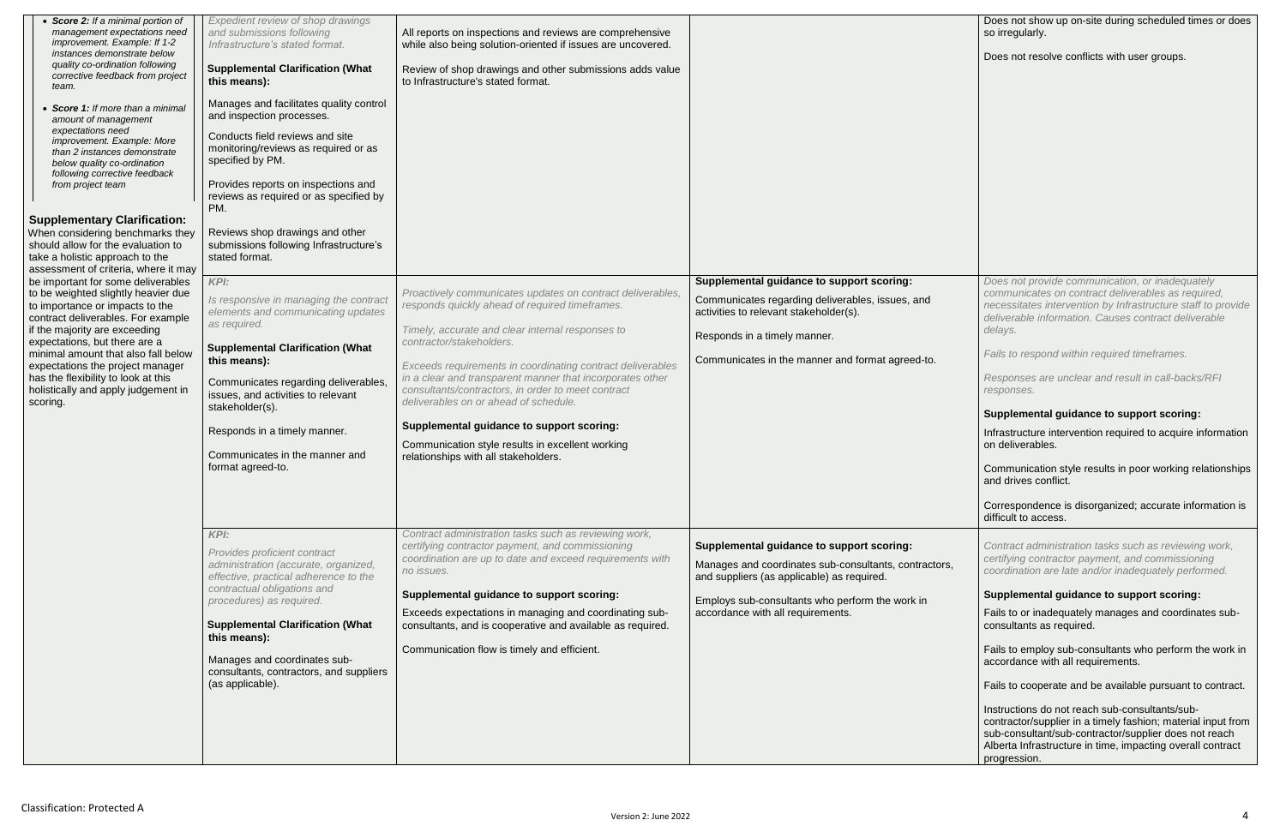| • Score 2: If a minimal portion of<br>management expectations need<br>improvement. Example: If 1-2<br>instances demonstrate below<br>quality co-ordination following<br>corrective feedback from project<br>team.<br>• Score 1: If more than a minimal<br>amount of management<br>expectations need<br>improvement. Example: More<br>than 2 instances demonstrate<br>below quality co-ordination<br>following corrective feedback<br>from project team<br><b>Supplementary Clarification:</b> | Expedient review of shop drawings<br>and submissions following<br>Infrastructure's stated format.<br><b>Supplemental Clarification (What</b><br>this means):<br>Manages and facilitates quality control<br>and inspection processes.<br>Conducts field reviews and site<br>monitoring/reviews as required or as<br>specified by PM.<br>Provides reports on inspections and<br>reviews as required or as specified by<br>PM. | All reports on inspections and reviews are comprehensive<br>while also being solution-oriented if issues are uncovered.<br>Review of shop drawings and other submissions adds value<br>to Infrastructure's stated format. |                                                                                                     |
|-----------------------------------------------------------------------------------------------------------------------------------------------------------------------------------------------------------------------------------------------------------------------------------------------------------------------------------------------------------------------------------------------------------------------------------------------------------------------------------------------|-----------------------------------------------------------------------------------------------------------------------------------------------------------------------------------------------------------------------------------------------------------------------------------------------------------------------------------------------------------------------------------------------------------------------------|---------------------------------------------------------------------------------------------------------------------------------------------------------------------------------------------------------------------------|-----------------------------------------------------------------------------------------------------|
| When considering benchmarks they<br>should allow for the evaluation to<br>take a holistic approach to the                                                                                                                                                                                                                                                                                                                                                                                     | Reviews shop drawings and other<br>submissions following Infrastructure's<br>stated format.                                                                                                                                                                                                                                                                                                                                 |                                                                                                                                                                                                                           |                                                                                                     |
| assessment of criteria, where it may                                                                                                                                                                                                                                                                                                                                                                                                                                                          |                                                                                                                                                                                                                                                                                                                                                                                                                             |                                                                                                                                                                                                                           |                                                                                                     |
| be important for some deliverables                                                                                                                                                                                                                                                                                                                                                                                                                                                            | KPI:                                                                                                                                                                                                                                                                                                                                                                                                                        |                                                                                                                                                                                                                           | Supplemental guidance to support scoring:                                                           |
| to be weighted slightly heavier due<br>to importance or impacts to the<br>contract deliverables. For example                                                                                                                                                                                                                                                                                                                                                                                  | Is responsive in managing the contract<br>elements and communicating updates<br>as required.                                                                                                                                                                                                                                                                                                                                | Proactively communicates updates on contract deliverables,<br>responds quickly ahead of required timeframes.                                                                                                              | Communicates regarding deliverables, issues, and<br>activities to relevant stakeholder(s).          |
| if the majority are exceeding                                                                                                                                                                                                                                                                                                                                                                                                                                                                 |                                                                                                                                                                                                                                                                                                                                                                                                                             | Timely, accurate and clear internal responses to                                                                                                                                                                          | Responds in a timely manner.                                                                        |
| expectations, but there are a                                                                                                                                                                                                                                                                                                                                                                                                                                                                 | <b>Supplemental Clarification (What</b>                                                                                                                                                                                                                                                                                                                                                                                     | contractor/stakeholders.                                                                                                                                                                                                  |                                                                                                     |
| minimal amount that also fall below                                                                                                                                                                                                                                                                                                                                                                                                                                                           | this means):                                                                                                                                                                                                                                                                                                                                                                                                                |                                                                                                                                                                                                                           | Communicates in the manner and format agreed-to.                                                    |
| expectations the project manager                                                                                                                                                                                                                                                                                                                                                                                                                                                              |                                                                                                                                                                                                                                                                                                                                                                                                                             | Exceeds requirements in coordinating contract deliverables                                                                                                                                                                |                                                                                                     |
| has the flexibility to look at this                                                                                                                                                                                                                                                                                                                                                                                                                                                           | Communicates regarding deliverables,                                                                                                                                                                                                                                                                                                                                                                                        | in a clear and transparent manner that incorporates other                                                                                                                                                                 |                                                                                                     |
| holistically and apply judgement in                                                                                                                                                                                                                                                                                                                                                                                                                                                           | issues, and activities to relevant                                                                                                                                                                                                                                                                                                                                                                                          | consultants/contractors, in order to meet contract                                                                                                                                                                        |                                                                                                     |
| scoring.                                                                                                                                                                                                                                                                                                                                                                                                                                                                                      | stakeholder(s).                                                                                                                                                                                                                                                                                                                                                                                                             | deliverables on or ahead of schedule.                                                                                                                                                                                     |                                                                                                     |
|                                                                                                                                                                                                                                                                                                                                                                                                                                                                                               | Responds in a timely manner.                                                                                                                                                                                                                                                                                                                                                                                                | Supplemental guidance to support scoring:                                                                                                                                                                                 |                                                                                                     |
|                                                                                                                                                                                                                                                                                                                                                                                                                                                                                               | Communicates in the manner and<br>format agreed-to.                                                                                                                                                                                                                                                                                                                                                                         | Communication style results in excellent working<br>relationships with all stakeholders.                                                                                                                                  |                                                                                                     |
|                                                                                                                                                                                                                                                                                                                                                                                                                                                                                               | KPI:<br>Provides proficient contract                                                                                                                                                                                                                                                                                                                                                                                        | Contract administration tasks such as reviewing work,<br>certifying contractor payment, and commissioning<br>coordination are up to date and exceed requirements with                                                     | Supplemental guidance to support scoring:                                                           |
|                                                                                                                                                                                                                                                                                                                                                                                                                                                                                               | administration (accurate, organized,<br>effective, practical adherence to the                                                                                                                                                                                                                                                                                                                                               | no issues.                                                                                                                                                                                                                | Manages and coordinates sub-consultants, contractors,<br>and suppliers (as applicable) as required. |
|                                                                                                                                                                                                                                                                                                                                                                                                                                                                                               | contractual obligations and                                                                                                                                                                                                                                                                                                                                                                                                 |                                                                                                                                                                                                                           |                                                                                                     |
|                                                                                                                                                                                                                                                                                                                                                                                                                                                                                               | procedures) as required.                                                                                                                                                                                                                                                                                                                                                                                                    | Supplemental guidance to support scoring:                                                                                                                                                                                 | Employs sub-consultants who perform the work in                                                     |
|                                                                                                                                                                                                                                                                                                                                                                                                                                                                                               |                                                                                                                                                                                                                                                                                                                                                                                                                             | Exceeds expectations in managing and coordinating sub-                                                                                                                                                                    | accordance with all requirements.                                                                   |
|                                                                                                                                                                                                                                                                                                                                                                                                                                                                                               | <b>Supplemental Clarification (What</b>                                                                                                                                                                                                                                                                                                                                                                                     | consultants, and is cooperative and available as required.                                                                                                                                                                |                                                                                                     |
|                                                                                                                                                                                                                                                                                                                                                                                                                                                                                               | this means):                                                                                                                                                                                                                                                                                                                                                                                                                |                                                                                                                                                                                                                           |                                                                                                     |
|                                                                                                                                                                                                                                                                                                                                                                                                                                                                                               | Manages and coordinates sub-                                                                                                                                                                                                                                                                                                                                                                                                | Communication flow is timely and efficient.                                                                                                                                                                               |                                                                                                     |
|                                                                                                                                                                                                                                                                                                                                                                                                                                                                                               | consultants, contractors, and suppliers                                                                                                                                                                                                                                                                                                                                                                                     |                                                                                                                                                                                                                           |                                                                                                     |
|                                                                                                                                                                                                                                                                                                                                                                                                                                                                                               | (as applicable).                                                                                                                                                                                                                                                                                                                                                                                                            |                                                                                                                                                                                                                           |                                                                                                     |
|                                                                                                                                                                                                                                                                                                                                                                                                                                                                                               |                                                                                                                                                                                                                                                                                                                                                                                                                             |                                                                                                                                                                                                                           |                                                                                                     |
|                                                                                                                                                                                                                                                                                                                                                                                                                                                                                               |                                                                                                                                                                                                                                                                                                                                                                                                                             |                                                                                                                                                                                                                           |                                                                                                     |
|                                                                                                                                                                                                                                                                                                                                                                                                                                                                                               |                                                                                                                                                                                                                                                                                                                                                                                                                             |                                                                                                                                                                                                                           |                                                                                                     |
|                                                                                                                                                                                                                                                                                                                                                                                                                                                                                               |                                                                                                                                                                                                                                                                                                                                                                                                                             |                                                                                                                                                                                                                           |                                                                                                     |

| Does not show up on-site during scheduled times or does<br>so irregularly.                                                                                                                                                            |
|---------------------------------------------------------------------------------------------------------------------------------------------------------------------------------------------------------------------------------------|
| Does not resolve conflicts with user groups.                                                                                                                                                                                          |
|                                                                                                                                                                                                                                       |
|                                                                                                                                                                                                                                       |
|                                                                                                                                                                                                                                       |
|                                                                                                                                                                                                                                       |
|                                                                                                                                                                                                                                       |
|                                                                                                                                                                                                                                       |
|                                                                                                                                                                                                                                       |
|                                                                                                                                                                                                                                       |
| Does not provide communication, or inadequately                                                                                                                                                                                       |
| communicates on contract deliverables as required,<br>necessitates intervention by Infrastructure staff to provide                                                                                                                    |
| deliverable information. Causes contract deliverable<br>delays.                                                                                                                                                                       |
| Fails to respond within required timeframes.                                                                                                                                                                                          |
| Responses are unclear and result in call-backs/RFI<br>responses.                                                                                                                                                                      |
| <b>Supplemental guidance to support scoring:</b>                                                                                                                                                                                      |
| Infrastructure intervention required to acquire information                                                                                                                                                                           |
| on deliverables.                                                                                                                                                                                                                      |
| Communication style results in poor working relationships<br>and drives conflict.                                                                                                                                                     |
| Correspondence is disorganized; accurate information is<br>difficult to access.                                                                                                                                                       |
| Contract administration tasks such as reviewing work,<br>certifying contractor payment, and commissioning                                                                                                                             |
| coordination are late and/or inadequately performed.                                                                                                                                                                                  |
| <b>Supplemental guidance to support scoring:</b>                                                                                                                                                                                      |
| Fails to or inadequately manages and coordinates sub-<br>consultants as required.                                                                                                                                                     |
| Fails to employ sub-consultants who perform the work in<br>accordance with all requirements.                                                                                                                                          |
| Fails to cooperate and be available pursuant to contract.                                                                                                                                                                             |
| Instructions do not reach sub-consultants/sub-<br>contractor/supplier in a timely fashion; material input from<br>sub-consultant/sub-contractor/supplier does not reach<br>Alberta Infrastructure in time, impacting overall contract |
| progression.                                                                                                                                                                                                                          |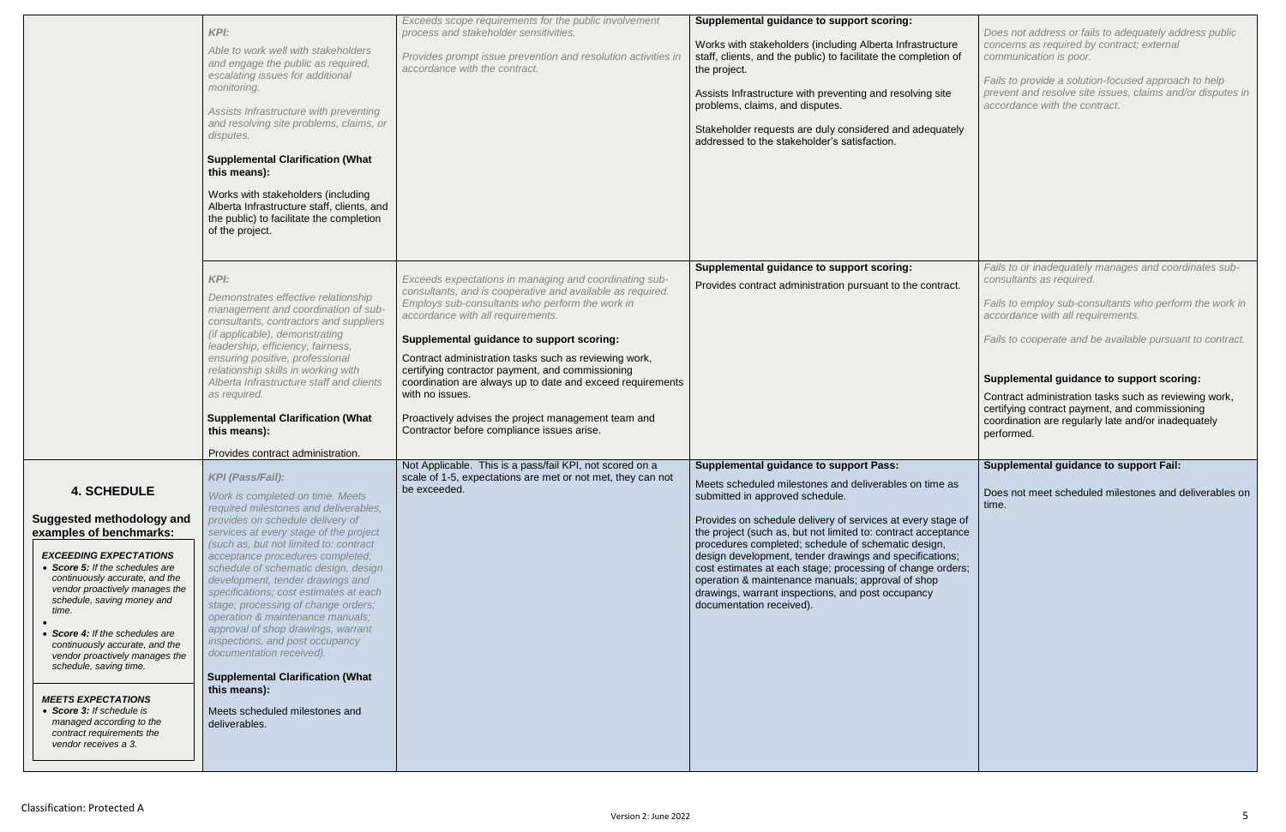|                                                                                                                                                                                                                                                                                                                                                                                                                                                                                                                                              | <b>KPI:</b><br>Able to work well with stakeholders<br>and engage the public as required,<br>escalating issues for additional<br>monitoring.<br>Assists Infrastructure with preventing<br>and resolving site problems, claims, or<br>disputes.<br><b>Supplemental Clarification (What</b><br>this means):<br>Works with stakeholders (including<br>Alberta Infrastructure staff, clients, and<br>the public) to facilitate the completion<br>of the project.                                                                                                                                                                                                                          | Exceeds scope requirements for the public involvement<br>process and stakeholder sensitivities.<br>Provides prompt issue prevention and resolution activities in<br>accordance with the contract.                                                                                                                                                                                                                                                                                                                                                            | Supplemental guidance to support scoring:<br>Works with stakeholders (including Alberta Infrastructure<br>staff, clients, and the public) to facilitate the completion of<br>the project.<br>Assists Infrastructure with preventing and resolving site<br>problems, claims, and disputes.<br>Stakeholder requests are duly considered and adequately<br>addressed to the stakeholder's satisfaction.                                                                                                                                                                                             |
|----------------------------------------------------------------------------------------------------------------------------------------------------------------------------------------------------------------------------------------------------------------------------------------------------------------------------------------------------------------------------------------------------------------------------------------------------------------------------------------------------------------------------------------------|--------------------------------------------------------------------------------------------------------------------------------------------------------------------------------------------------------------------------------------------------------------------------------------------------------------------------------------------------------------------------------------------------------------------------------------------------------------------------------------------------------------------------------------------------------------------------------------------------------------------------------------------------------------------------------------|--------------------------------------------------------------------------------------------------------------------------------------------------------------------------------------------------------------------------------------------------------------------------------------------------------------------------------------------------------------------------------------------------------------------------------------------------------------------------------------------------------------------------------------------------------------|--------------------------------------------------------------------------------------------------------------------------------------------------------------------------------------------------------------------------------------------------------------------------------------------------------------------------------------------------------------------------------------------------------------------------------------------------------------------------------------------------------------------------------------------------------------------------------------------------|
|                                                                                                                                                                                                                                                                                                                                                                                                                                                                                                                                              | KPI:<br>Demonstrates effective relationship<br>management and coordination of sub-<br>consultants, contractors and suppliers<br>(if applicable), demonstrating<br>leadership, efficiency, fairness,<br>ensuring positive, professional<br>relationship skills in working with<br>Alberta Infrastructure staff and clients<br>as required.<br><b>Supplemental Clarification (What</b><br>this means):<br>Provides contract administration.                                                                                                                                                                                                                                            | Exceeds expectations in managing and coordinating sub-<br>consultants, and is cooperative and available as required.<br>Employs sub-consultants who perform the work in<br>accordance with all requirements.<br>Supplemental guidance to support scoring:<br>Contract administration tasks such as reviewing work,<br>certifying contractor payment, and commissioning<br>coordination are always up to date and exceed requirements<br>with no issues.<br>Proactively advises the project management team and<br>Contractor before compliance issues arise. | Supplemental guidance to support scoring:<br>Provides contract administration pursuant to the contract.                                                                                                                                                                                                                                                                                                                                                                                                                                                                                          |
| <b>4. SCHEDULE</b><br><b>Suggested methodology and</b><br>examples of benchmarks:<br><b>EXCEEDING EXPECTATIONS</b><br>• Score 5: If the schedules are<br>continuously accurate, and the<br>vendor proactively manages the<br>schedule, saving money and<br>time.<br>• Score 4: If the schedules are<br>continuously accurate, and the<br>vendor proactively manages the<br>schedule, saving time.<br><b>MEETS EXPECTATIONS</b><br>• Score 3: If schedule is<br>managed according to the<br>contract requirements the<br>vendor receives a 3. | <b>KPI (Pass/Fail):</b><br>Work is completed on time. Meets<br>required milestones and deliverables,<br>provides on schedule delivery of<br>services at every stage of the project<br>(such as, but not limited to: contract<br>acceptance procedures completed;<br>schedule of schematic design, design<br>development, tender drawings and<br>specifications; cost estimates at each<br>stage; processing of change orders;<br>operation & maintenance manuals;<br>approval of shop drawings, warrant<br>inspections, and post occupancy<br>documentation received).<br><b>Supplemental Clarification (What</b><br>this means):<br>Meets scheduled milestones and<br>deliverables. | Not Applicable. This is a pass/fail KPI, not scored on a<br>scale of 1-5, expectations are met or not met, they can not<br>be exceeded.                                                                                                                                                                                                                                                                                                                                                                                                                      | <b>Supplemental guidance to support Pass:</b><br>Meets scheduled milestones and deliverables on time as<br>submitted in approved schedule.<br>Provides on schedule delivery of services at every stage of<br>the project (such as, but not limited to: contract acceptance<br>procedures completed; schedule of schematic design,<br>design development, tender drawings and specifications;<br>cost estimates at each stage; processing of change orders;<br>operation & maintenance manuals; approval of shop<br>drawings, warrant inspections, and post occupancy<br>documentation received). |

| ure<br>n of    | Does not address or fails to adequately address public<br>concerns as required by contract; external<br>communication is poor.                                               |
|----------------|------------------------------------------------------------------------------------------------------------------------------------------------------------------------------|
| ë              | Fails to provide a solution-focused approach to help<br>prevent and resolve site issues, claims and/or disputes in<br>accordance with the contract.                          |
| ately          |                                                                                                                                                                              |
|                |                                                                                                                                                                              |
|                |                                                                                                                                                                              |
|                |                                                                                                                                                                              |
|                |                                                                                                                                                                              |
| act.           | Fails to or inadequately manages and coordinates sub-<br>consultants as required.                                                                                            |
|                | Fails to employ sub-consultants who perform the work in<br>accordance with all requirements.                                                                                 |
|                | Fails to cooperate and be available pursuant to contract.                                                                                                                    |
|                | Supplemental guidance to support scoring:                                                                                                                                    |
|                |                                                                                                                                                                              |
|                | Contract administration tasks such as reviewing work,<br>certifying contract payment, and commissioning<br>coordination are regularly late and/or inadequately<br>performed. |
|                |                                                                                                                                                                              |
| as             | <b>Supplemental guidance to support Fail:</b><br>Does not meet scheduled milestones and deliverables on<br>time.                                                             |
| ge of<br>tance |                                                                                                                                                                              |
| ns;<br>rders;  |                                                                                                                                                                              |
|                |                                                                                                                                                                              |
|                |                                                                                                                                                                              |
|                |                                                                                                                                                                              |
|                |                                                                                                                                                                              |
|                |                                                                                                                                                                              |
|                |                                                                                                                                                                              |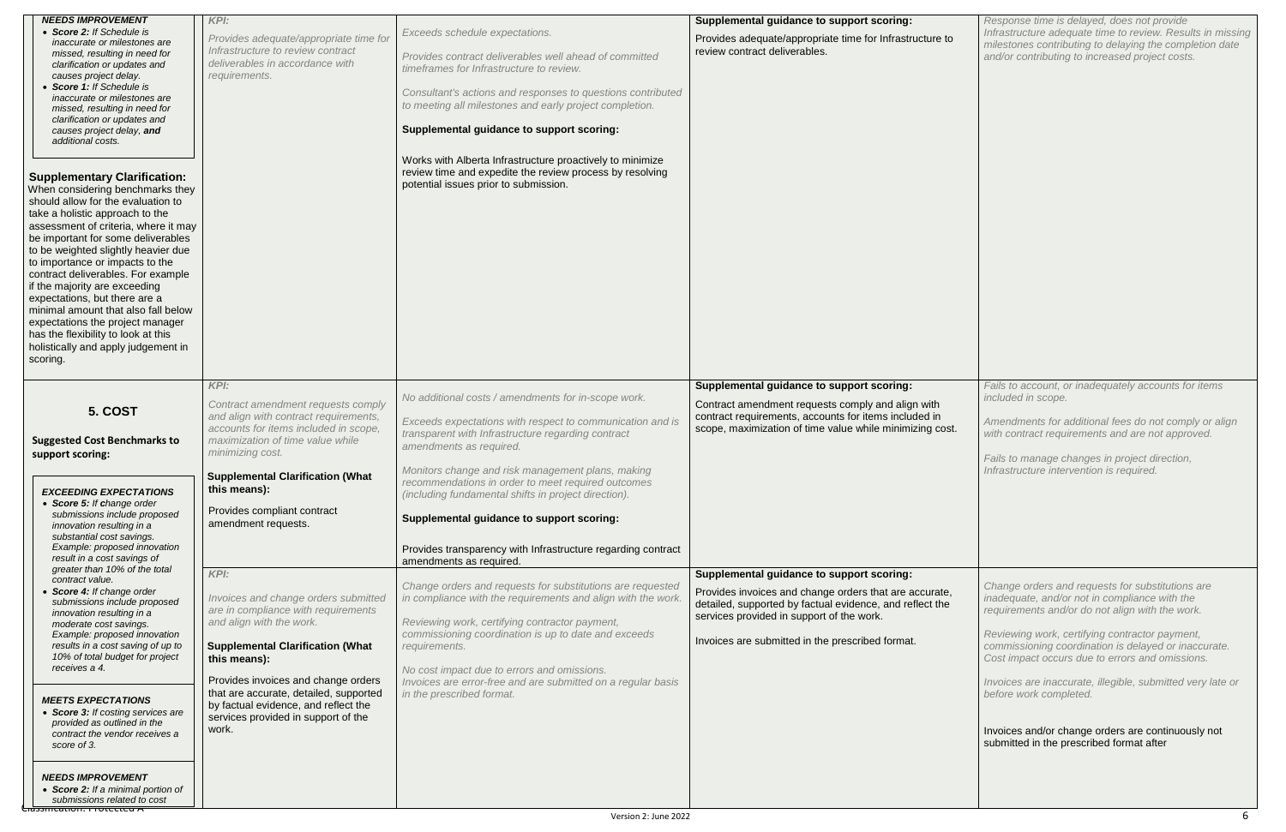| <b>NEEDS IMPROVEMENT</b>                                                                                                                                                                                                                                                                                                                                                                                                                                                                                                                                                              | <b>KPI:</b>                                                                                                                                                                  |                                                                                                                                                                 | Supplemental guidance to support scoring:                                                                                                                              |
|---------------------------------------------------------------------------------------------------------------------------------------------------------------------------------------------------------------------------------------------------------------------------------------------------------------------------------------------------------------------------------------------------------------------------------------------------------------------------------------------------------------------------------------------------------------------------------------|------------------------------------------------------------------------------------------------------------------------------------------------------------------------------|-----------------------------------------------------------------------------------------------------------------------------------------------------------------|------------------------------------------------------------------------------------------------------------------------------------------------------------------------|
| • Score 2: If Schedule is<br>inaccurate or milestones are<br>missed, resulting in need for                                                                                                                                                                                                                                                                                                                                                                                                                                                                                            | Provides adequate/appropriate time for<br>Infrastructure to review contract                                                                                                  | Exceeds schedule expectations.<br>Provides contract deliverables well ahead of committed                                                                        | Provides adequate/appropriate time for Infrastructure to<br>review contract deliverables.                                                                              |
| clarification or updates and<br>causes project delay.                                                                                                                                                                                                                                                                                                                                                                                                                                                                                                                                 | deliverables in accordance with<br>requirements.                                                                                                                             | timeframes for Infrastructure to review.                                                                                                                        |                                                                                                                                                                        |
| • Score 1: If Schedule is<br>inaccurate or milestones are<br>missed, resulting in need for                                                                                                                                                                                                                                                                                                                                                                                                                                                                                            |                                                                                                                                                                              | Consultant's actions and responses to questions contributed<br>to meeting all milestones and early project completion.                                          |                                                                                                                                                                        |
| clarification or updates and<br>causes project delay, and<br>additional costs.                                                                                                                                                                                                                                                                                                                                                                                                                                                                                                        |                                                                                                                                                                              | Supplemental guidance to support scoring:                                                                                                                       |                                                                                                                                                                        |
| <b>Supplementary Clarification:</b><br>When considering benchmarks they<br>should allow for the evaluation to<br>take a holistic approach to the<br>assessment of criteria, where it may<br>be important for some deliverables<br>to be weighted slightly heavier due<br>to importance or impacts to the<br>contract deliverables. For example<br>if the majority are exceeding<br>expectations, but there are a<br>minimal amount that also fall below<br>expectations the project manager<br>has the flexibility to look at this<br>holistically and apply judgement in<br>scoring. |                                                                                                                                                                              | Works with Alberta Infrastructure proactively to minimize<br>review time and expedite the review process by resolving<br>potential issues prior to submission.  |                                                                                                                                                                        |
|                                                                                                                                                                                                                                                                                                                                                                                                                                                                                                                                                                                       | KPI:                                                                                                                                                                         | No additional costs / amendments for in-scope work.                                                                                                             | Supplemental guidance to support scoring:                                                                                                                              |
| 5. COST<br><b>Suggested Cost Benchmarks to</b><br>support scoring:                                                                                                                                                                                                                                                                                                                                                                                                                                                                                                                    | Contract amendment requests comply<br>and align with contract requirements,<br>accounts for items included in scope,<br>maximization of time value while<br>minimizing cost. | Exceeds expectations with respect to communication and is<br>transparent with Infrastructure regarding contract<br>amendments as required.                      | Contract amendment requests comply and align with<br>contract requirements, accounts for items included in<br>scope, maximization of time value while minimizing cost. |
| <b>EXCEEDING EXPECTATIONS</b><br>• Score 5: If change order                                                                                                                                                                                                                                                                                                                                                                                                                                                                                                                           | <b>Supplemental Clarification (What</b><br>this means):                                                                                                                      | Monitors change and risk management plans, making<br>recommendations in order to meet required outcomes<br>(including fundamental shifts in project direction). |                                                                                                                                                                        |
| submissions include proposed<br>innovation resulting in a<br>substantial cost savings.                                                                                                                                                                                                                                                                                                                                                                                                                                                                                                | Provides compliant contract<br>amendment requests.                                                                                                                           | Supplemental guidance to support scoring:                                                                                                                       |                                                                                                                                                                        |
| Example: proposed innovation<br>result in a cost savings of<br>greater than 10% of the total                                                                                                                                                                                                                                                                                                                                                                                                                                                                                          |                                                                                                                                                                              | Provides transparency with Infrastructure regarding contract<br>amendments as required.                                                                         |                                                                                                                                                                        |
| contract value.<br>• Score 4: If change order<br>submissions include proposed<br>innovation resulting in a                                                                                                                                                                                                                                                                                                                                                                                                                                                                            | KPI:<br>Invoices and change orders submitted<br>are in compliance with requirements                                                                                          | Change orders and requests for substitutions are requested<br>in compliance with the requirements and align with the work.                                      | Supplemental guidance to support scoring:<br>Provides invoices and change orders that are accurate,<br>detailed, supported by factual evidence, and reflect the        |
| moderate cost savings.<br>Example: proposed innovation<br>results in a cost saving of up to<br>10% of total budget for project                                                                                                                                                                                                                                                                                                                                                                                                                                                        | and align with the work.<br><b>Supplemental Clarification (What</b><br>this means):                                                                                          | Reviewing work, certifying contractor payment,<br>commissioning coordination is up to date and exceeds<br>requirements.                                         | services provided in support of the work.<br>Invoices are submitted in the prescribed format.                                                                          |
| receives a 4.                                                                                                                                                                                                                                                                                                                                                                                                                                                                                                                                                                         | Provides invoices and change orders                                                                                                                                          | No cost impact due to errors and omissions.<br>Invoices are error-free and are submitted on a regular basis                                                     |                                                                                                                                                                        |
| <b>MEETS EXPECTATIONS</b><br>• Score 3: If costing services are<br>provided as outlined in the<br>contract the vendor receives a<br>score of 3.                                                                                                                                                                                                                                                                                                                                                                                                                                       | that are accurate, detailed, supported<br>by factual evidence, and reflect the<br>services provided in support of the<br>work.                                               | in the prescribed format.                                                                                                                                       |                                                                                                                                                                        |
| <b>NEEDS IMPROVEMENT</b><br>• Score 2: If a minimal portion of<br>submissions related to cost<br><del>Ciassincation. Frotecteu A</del>                                                                                                                                                                                                                                                                                                                                                                                                                                                |                                                                                                                                                                              |                                                                                                                                                                 |                                                                                                                                                                        |

| to  | Response time is delayed, does not provide<br>Infrastructure adequate time to review. Results in missing<br>milestones contributing to delaying the completion date<br>and/or contributing to increased project costs.                                                                                                                                                                                                                                          |
|-----|-----------------------------------------------------------------------------------------------------------------------------------------------------------------------------------------------------------------------------------------------------------------------------------------------------------------------------------------------------------------------------------------------------------------------------------------------------------------|
|     | Fails to account, or inadequately accounts for items                                                                                                                                                                                                                                                                                                                                                                                                            |
| st. | included in scope.<br>Amendments for additional fees do not comply or align<br>with contract requirements and are not approved.<br>Fails to manage changes in project direction,<br>Infrastructure intervention is required.                                                                                                                                                                                                                                    |
| e   | Change orders and requests for substitutions are<br>inadequate, and/or not in compliance with the<br>requirements and/or do not align with the work.<br>Reviewing work, certifying contractor payment,<br>commissioning coordination is delayed or inaccurate.<br>Cost impact occurs due to errors and omissions.<br>Invoices are inaccurate, illegible, submitted very late or<br>before work completed.<br>Invoices and/or change orders are continuously not |
|     | submitted in the prescribed format after                                                                                                                                                                                                                                                                                                                                                                                                                        |